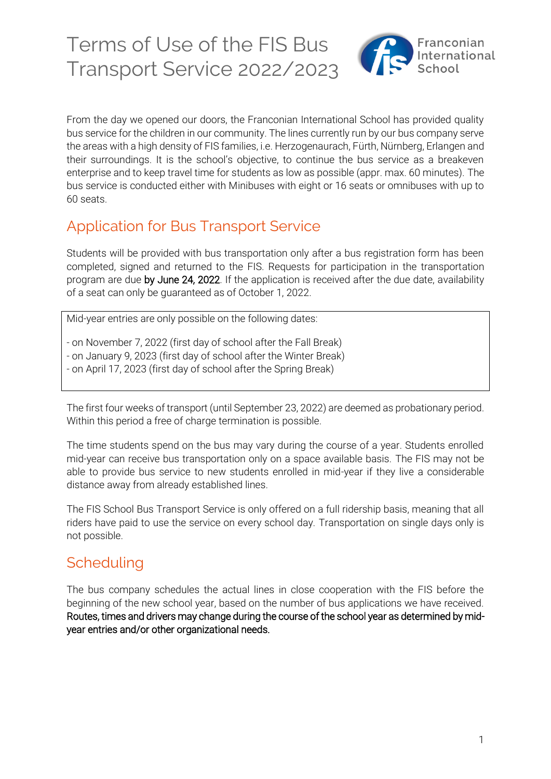

From the day we opened our doors, the Franconian International School has provided quality bus service for the children in our community. The lines currently run by our bus company serve the areas with a high density of FIS families, i.e. Herzogenaurach, Fürth, Nürnberg, Erlangen and their surroundings. It is the school's objective, to continue the bus service as a breakeven enterprise and to keep travel time for students as low as possible (appr. max. 60 minutes). The bus service is conducted either with Minibuses with eight or 16 seats or omnibuses with up to 60 seats.

## Application for Bus Transport Service

Students will be provided with bus transportation only after a bus registration form has been completed, signed and returned to the FIS. Requests for participation in the transportation program are due by June 24, 2022. If the application is received after the due date, availability of a seat can only be guaranteed as of October 1, 2022.

Mid-year entries are only possible on the following dates:

- on November 7, 2022 (first day of school after the Fall Break)
- on January 9, 2023 (first day of school after the Winter Break)
- on April 17, 2023 (first day of school after the Spring Break)

The first four weeks of transport (until September 23, 2022) are deemed as probationary period. Within this period a free of charge termination is possible.

The time students spend on the bus may vary during the course of a year. Students enrolled mid-year can receive bus transportation only on a space available basis. The FIS may not be able to provide bus service to new students enrolled in mid-year if they live a considerable distance away from already established lines.

The FIS School Bus Transport Service is only offered on a full ridership basis, meaning that all riders have paid to use the service on every school day. Transportation on single days only is not possible.

## **Scheduling**

The bus company schedules the actual lines in close cooperation with the FIS before the beginning of the new school year, based on the number of bus applications we have received. Routes, times and drivers may change during the course of the school year as determined by midyear entries and/or other organizational needs.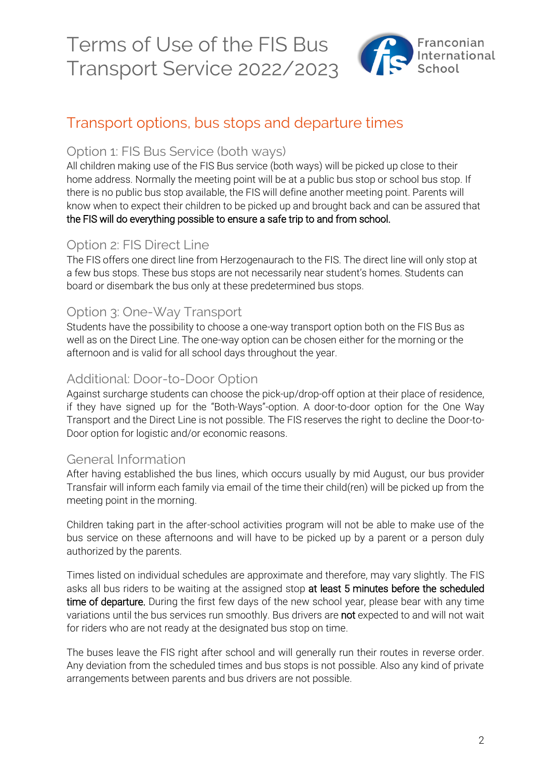

## Transport options, bus stops and departure times

### Option 1: FIS Bus Service (both ways)

All children making use of the FIS Bus service (both ways) will be picked up close to their home address. Normally the meeting point will be at a public bus stop or school bus stop. If there is no public bus stop available, the FIS will define another meeting point. Parents will know when to expect their children to be picked up and brought back and can be assured that the FIS will do everything possible to ensure a safe trip to and from school.

### Option 2: FIS Direct Line

The FIS offers one direct line from Herzogenaurach to the FIS. The direct line will only stop at a few bus stops. These bus stops are not necessarily near student's homes. Students can board or disembark the bus only at these predetermined bus stops.

### Option 3: One-Way Transport

Students have the possibility to choose a one-way transport option both on the FIS Bus as well as on the Direct Line. The one-way option can be chosen either for the morning or the afternoon and is valid for all school days throughout the year.

### Additional: Door-to-Door Option

Against surcharge students can choose the pick-up/drop-off option at their place of residence, if they have signed up for the "Both-Ways"-option. A door-to-door option for the One Way Transport and the Direct Line is not possible. The FIS reserves the right to decline the Door-to-Door option for logistic and/or economic reasons.

### General Information

After having established the bus lines, which occurs usually by mid August, our bus provider Transfair will inform each family via email of the time their child(ren) will be picked up from the meeting point in the morning.

Children taking part in the after-school activities program will not be able to make use of the bus service on these afternoons and will have to be picked up by a parent or a person duly authorized by the parents.

Times listed on individual schedules are approximate and therefore, may vary slightly. The FIS asks all bus riders to be waiting at the assigned stop at least 5 minutes before the scheduled time of departure. During the first few days of the new school year, please bear with any time variations until the bus services run smoothly. Bus drivers are not expected to and will not wait for riders who are not ready at the designated bus stop on time.

The buses leave the FIS right after school and will generally run their routes in reverse order. Any deviation from the scheduled times and bus stops is not possible. Also any kind of private arrangements between parents and bus drivers are not possible.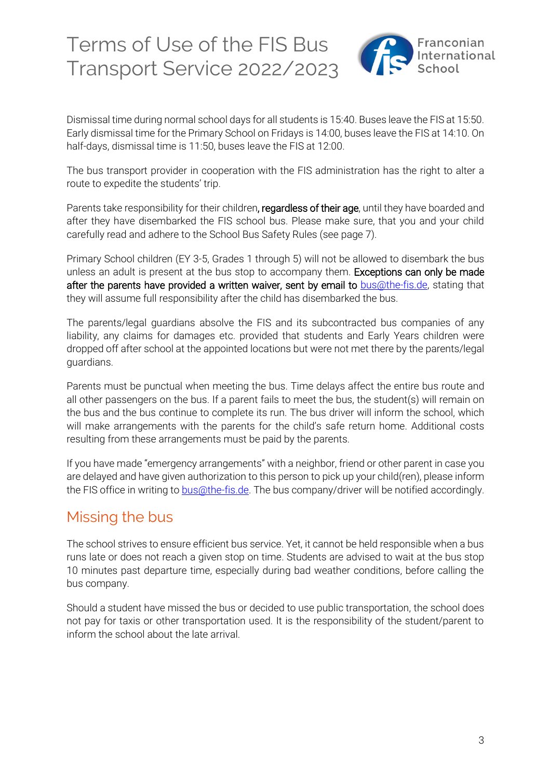

Dismissal time during normal school days for all students is 15:40. Buses leave the FIS at 15:50. Early dismissal time for the Primary School on Fridays is 14:00, buses leave the FIS at 14:10. On half-days, dismissal time is 11:50, buses leave the FIS at 12:00.

The bus transport provider in cooperation with the FIS administration has the right to alter a route to expedite the students' trip.

Parents take responsibility for their children, regardless of their age, until they have boarded and after they have disembarked the FIS school bus. Please make sure, that you and your child carefully read and adhere to the School Bus Safety Rules (see page 7).

Primary School children (EY 3-5, Grades 1 through 5) will not be allowed to disembark the bus unless an adult is present at the bus stop to accompany them. Exceptions can only be made after the parents have provided a written waiver, sent by email to **bus@the-fis.de**, stating that they will assume full responsibility after the child has disembarked the bus.

The parents/legal guardians absolve the FIS and its subcontracted bus companies of any liability, any claims for damages etc. provided that students and Early Years children were dropped off after school at the appointed locations but were not met there by the parents/legal guardians.

Parents must be punctual when meeting the bus. Time delays affect the entire bus route and all other passengers on the bus. If a parent fails to meet the bus, the student(s) will remain on the bus and the bus continue to complete its run. The bus driver will inform the school, which will make arrangements with the parents for the child's safe return home. Additional costs resulting from these arrangements must be paid by the parents.

If you have made "emergency arrangements" with a neighbor, friend or other parent in case you are delayed and have given authorization to this person to pick up your child(ren), please inform the FIS office in writing to **bus**@the-fis.de. The bus company/driver will be notified accordingly.

## Missing the bus

The school strives to ensure efficient bus service. Yet, it cannot be held responsible when a bus runs late or does not reach a given stop on time. Students are advised to wait at the bus stop 10 minutes past departure time, especially during bad weather conditions, before calling the bus company.

Should a student have missed the bus or decided to use public transportation, the school does not pay for taxis or other transportation used. It is the responsibility of the student/parent to inform the school about the late arrival.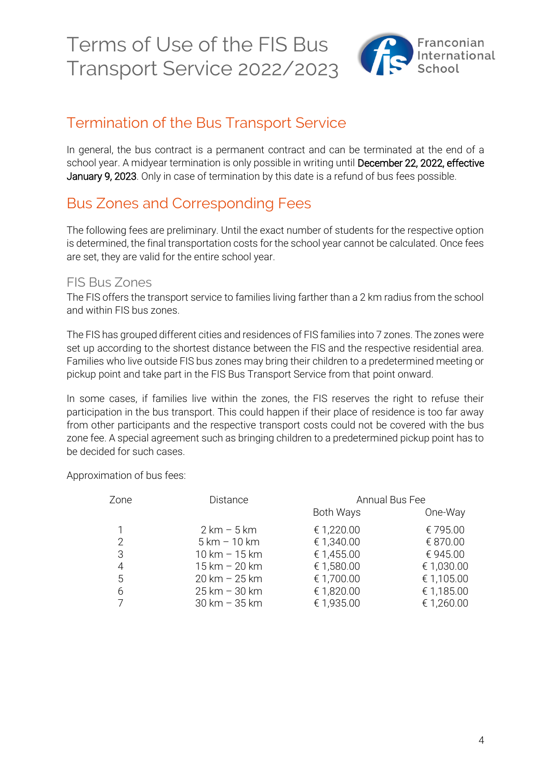

## Termination of the Bus Transport Service

In general, the bus contract is a permanent contract and can be terminated at the end of a school year. A midyear termination is only possible in writing until December 22, 2022, effective January 9, 2023. Only in case of termination by this date is a refund of bus fees possible.

## Bus Zones and Corresponding Fees

The following fees are preliminary. Until the exact number of students for the respective option is determined, the final transportation costs for the school year cannot be calculated. Once fees are set, they are valid for the entire school year.

### FIS Bus Zones

The FIS offers the transport service to families living farther than a 2 km radius from the school and within FIS bus zones.

The FIS has grouped different cities and residences of FIS families into 7 zones. The zones were set up according to the shortest distance between the FIS and the respective residential area. Families who live outside FIS bus zones may bring their children to a predetermined meeting or pickup point and take part in the FIS Bus Transport Service from that point onward.

In some cases, if families live within the zones, the FIS reserves the right to refuse their participation in the bus transport. This could happen if their place of residence is too far away from other participants and the respective transport costs could not be covered with the bus zone fee. A special agreement such as bringing children to a predetermined pickup point has to be decided for such cases.

Approximation of bus fees:

| Zone | <b>Distance</b>                 | Annual Bus Fee |            |
|------|---------------------------------|----------------|------------|
|      |                                 | Both Ways      | One-Way    |
|      | $2 \text{ km} - 5 \text{ km}$   | € 1,220.00     | € 795.00   |
| 2    | $5 km - 10 km$                  | € 1,340.00     | € 870.00   |
| 3    | $10 \text{ km} - 15 \text{ km}$ | € 1,455.00     | € 945.00   |
| 4    | $15 km - 20 km$                 | € 1,580.00     | € 1,030.00 |
| 5    | $20 \text{ km} - 25 \text{ km}$ | € 1,700.00     | € 1,105.00 |
| 6    | $25 \,\mathrm{km}$ – 30 km      | € 1,820.00     | € 1,185.00 |
|      | $30 \text{ km} - 35 \text{ km}$ | € 1,935.00     | € 1,260.00 |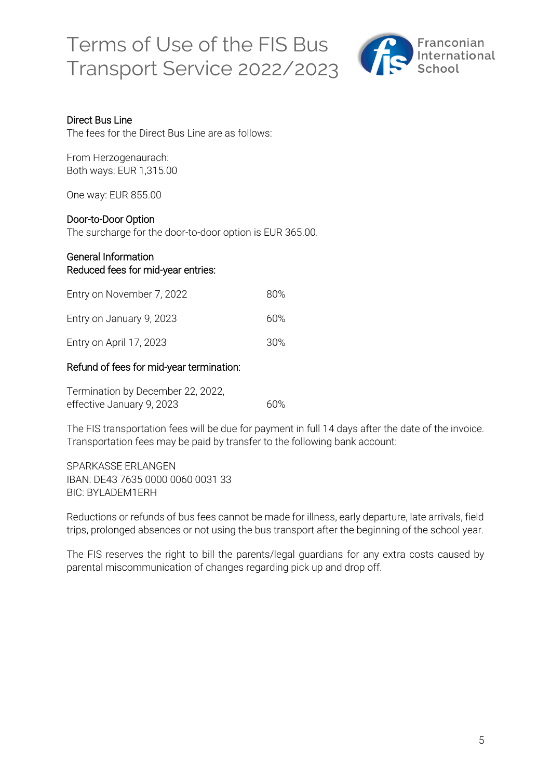

#### Direct Bus Line

The fees for the Direct Bus Line are as follows:

From Herzogenaurach: Both ways: EUR 1,315.00

One way: EUR 855.00

#### Door-to-Door Option

The surcharge for the door-to-door option is EUR 365.00.

#### General Information Reduced fees for mid-year entries:

| Entry on November 7, 2022 | 80%  |
|---------------------------|------|
| Entry on January 9, 2023  | 60%  |
| Entry on April 17, 2023   | .30% |

#### Refund of fees for mid-year termination:

| Termination by December 22, 2022, |     |
|-----------------------------------|-----|
| effective January 9, 2023         | 60% |

The FIS transportation fees will be due for payment in full 14 days after the date of the invoice. Transportation fees may be paid by transfer to the following bank account:

SPARKASSE ERLANGEN IBAN: DE43 7635 0000 0060 0031 33 BIC: BYLADEM1ERH

Reductions or refunds of bus fees cannot be made for illness, early departure, late arrivals, field trips, prolonged absences or not using the bus transport after the beginning of the school year.

The FIS reserves the right to bill the parents/legal guardians for any extra costs caused by parental miscommunication of changes regarding pick up and drop off.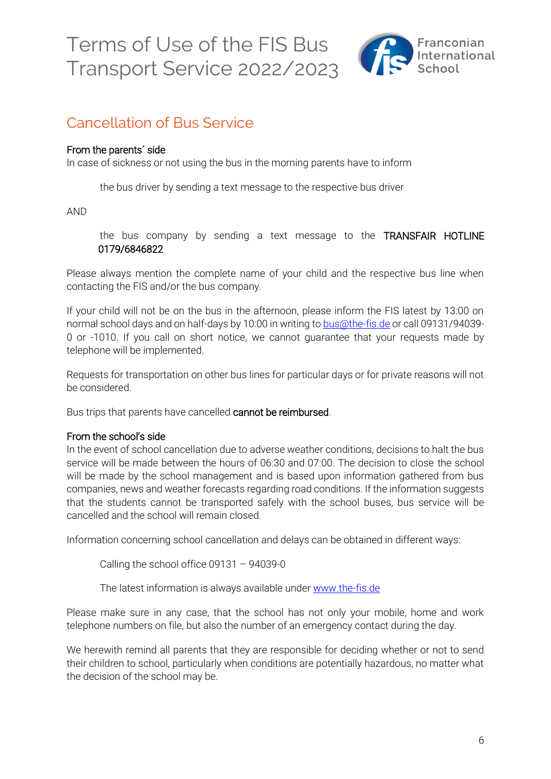

## Cancellation of Bus Service

#### From the parents´ side

In case of sickness or not using the bus in the morning parents have to inform

the bus driver by sending a text message to the respective bus driver

AND

the bus company by sending a text message to the TRANSFAIR HOTLINE 0179/6846822

Please always mention the complete name of your child and the respective bus line when contacting the FIS and/or the bus company.

If your child will not be on the bus in the afternoon, please inform the FIS latest by 13:00 on normal school days and on half-days by 10:00 in writing to [bus@the-fis.de](mailto:bus@the-fis.de) or call 09131/94039- 0 or -1010. If you call on short notice, we cannot guarantee that your requests made by telephone will be implemented.

Requests for transportation on other bus lines for particular days or for private reasons will not be considered.

Bus trips that parents have cancelled cannot be reimbursed.

#### From the school's side

In the event of school cancellation due to adverse weather conditions, decisions to halt the bus service will be made between the hours of 06:30 and 07:00. The decision to close the school will be made by the school management and is based upon information gathered from bus companies, news and weather forecasts regarding road conditions. If the information suggests that the students cannot be transported safely with the school buses, bus service will be cancelled and the school will remain closed.

Information concerning school cancellation and delays can be obtained in different ways:

Calling the school office 09131 – 94039-0

The latest information is always available under [www.the-fis.de](http://www.the-fis.de/)

Please make sure in any case, that the school has not only your mobile, home and work telephone numbers on file, but also the number of an emergency contact during the day.

We herewith remind all parents that they are responsible for deciding whether or not to send their children to school, particularly when conditions are potentially hazardous, no matter what the decision of the school may be.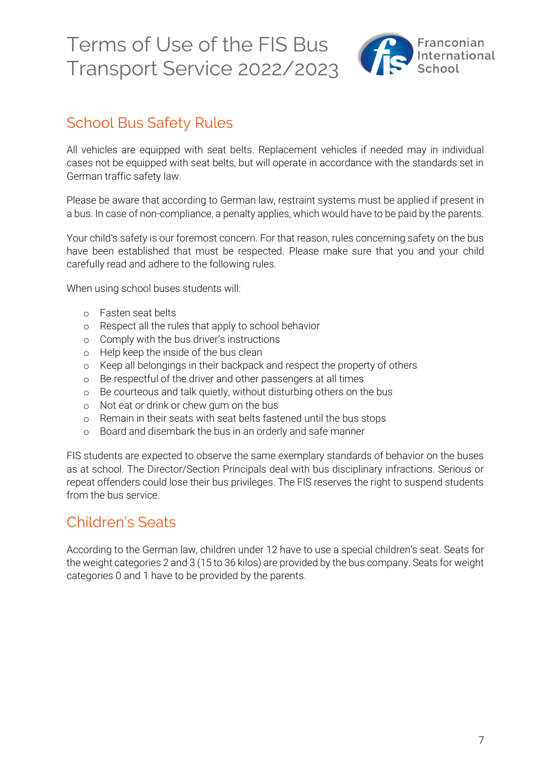

## School Bus Safety Rules

All vehicles are equipped with seat belts. Replacement vehicles if needed may in individual cases not be equipped with seat belts, but will operate in accordance with the standards set in German traffic safety law.

Please be aware that according to German law, restraint systems must be applied if present in a bus. In case of non-compliance, a penalty applies, which would have to be paid by the parents.

Your child's safety is our foremost concern. For that reason, rules concerning safety on the bus have been established that must be respected. Please make sure that you and your child carefully read and adhere to the following rules.

When using school buses students will:

- o Fasten seat belts
- o Respect all the rules that apply to school behavior
- o Comply with the bus driver's instructions
- o Help keep the inside of the bus clean
- o Keep all belongings in their backpack and respect the property of others
- o Be respectful of the driver and other passengers at all times
- o Be courteous and talk quietly, without disturbing others on the bus
- o Not eat or drink or chew gum on the bus
- o Remain in their seats with seat belts fastened until the bus stops
- o Board and disembark the bus in an orderly and safe manner

FIS students are expected to observe the same exemplary standards of behavior on the buses as at school. The Director/Section Principals deal with bus disciplinary infractions. Serious or repeat offenders could lose their bus privileges. The FIS reserves the right to suspend students from the bus service.

### Children's Seats

According to the German law, children under 12 have to use a special children's seat. Seats for the weight categories 2 and 3 (15 to 36 kilos) are provided by the bus company. Seats for weight categories 0 and 1 have to be provided by the parents.